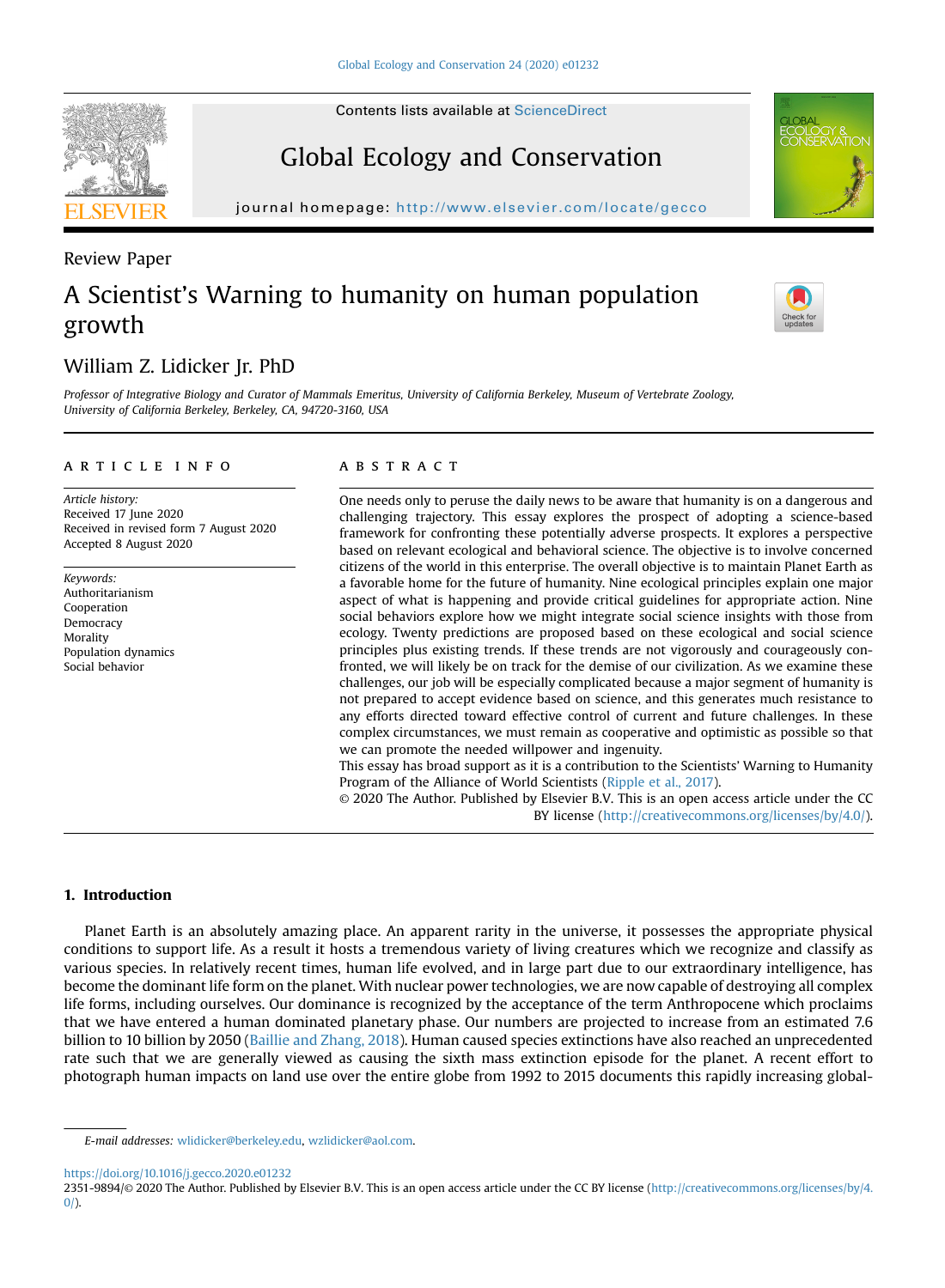## Global Ecology and Conservation

journal homepage: http://www.elsevier.com/locate/gecom/locate/gecom/locate/gecom/locate/gecom/locate/gecom/locate/gec

# A Scientist's Warning to humanity on human population growth

### William Z. Lidicker Jr. PhD

Professor of Integrative Biology and Curator of Mammals Emeritus, University of California Berkeley, Museum of Vertebrate Zoology, University of California Berkeley, Berkeley, CA, 94720-3160, USA

#### article info

Article history: Received 17 June 2020 Received in revised form 7 August 2020 Accepted 8 August 2020

Keywords: Authoritarianism Cooperation Democracy Morality Population dynamics Social behavior

#### **ABSTRACT**

One needs only to peruse the daily news to be aware that humanity is on a dangerous and challenging trajectory. This essay explores the prospect of adopting a science-based framework for confronting these potentially adverse prospects. It explores a perspective based on relevant ecological and behavioral science. The objective is to involve concerned citizens of the world in this enterprise. The overall objective is to maintain Planet Earth as a favorable home for the future of humanity. Nine ecological principles explain one major aspect of what is happening and provide critical guidelines for appropriate action. Nine social behaviors explore how we might integrate social science insights with those from ecology. Twenty predictions are proposed based on these ecological and social science principles plus existing trends. If these trends are not vigorously and courageously confronted, we will likely be on track for the demise of our civilization. As we examine these challenges, our job will be especially complicated because a major segment of humanity is not prepared to accept evidence based on science, and this generates much resistance to any efforts directed toward effective control of current and future challenges. In these complex circumstances, we must remain as cooperative and optimistic as possible so that we can promote the needed willpower and ingenuity. This essay has broad support as it is a contribution to the Scientists' Warning to Humanity

Program of the Alliance of World Scientists ([Ripple et al., 2017](#page-6-0)).

© 2020 The Author. Published by Elsevier B.V. This is an open access article under the CC BY license ([http://creativecommons.org/licenses/by/4.0/\)](http://creativecommons.org/licenses/by/4.0/).

#### 1. Introduction

Planet Earth is an absolutely amazing place. An apparent rarity in the universe, it possesses the appropriate physical conditions to support life. As a result it hosts a tremendous variety of living creatures which we recognize and classify as various species. In relatively recent times, human life evolved, and in large part due to our extraordinary intelligence, has become the dominant life form on the planet. With nuclear power technologies, we are now capable of destroying all complex life forms, including ourselves. Our dominance is recognized by the acceptance of the term Anthropocene which proclaims that we have entered a human dominated planetary phase. Our numbers are projected to increase from an estimated 7.6 billion to 10 billion by 2050 ([Baillie and Zhang, 2018](#page-6-1)). Human caused species extinctions have also reached an unprecedented rate such that we are generally viewed as causing the sixth mass extinction episode for the planet. A recent effort to photograph human impacts on land use over the entire globe from 1992 to 2015 documents this rapidly increasing global-

<https://doi.org/10.1016/j.gecco.2020.e01232>



Review Paper





E-mail addresses: [wlidicker@berkeley.edu,](mailto:wlidicker@berkeley.edu) [wzlidicker@aol.com.](mailto:wzlidicker@aol.com)

<sup>2351-9894/</sup>© 2020 The Author. Published by Elsevier B.V. This is an open access article under the CC BY license [\(http://creativecommons.org/licenses/by/4.](http://creativecommons.org/licenses/by/4.0/)  $0/$ ).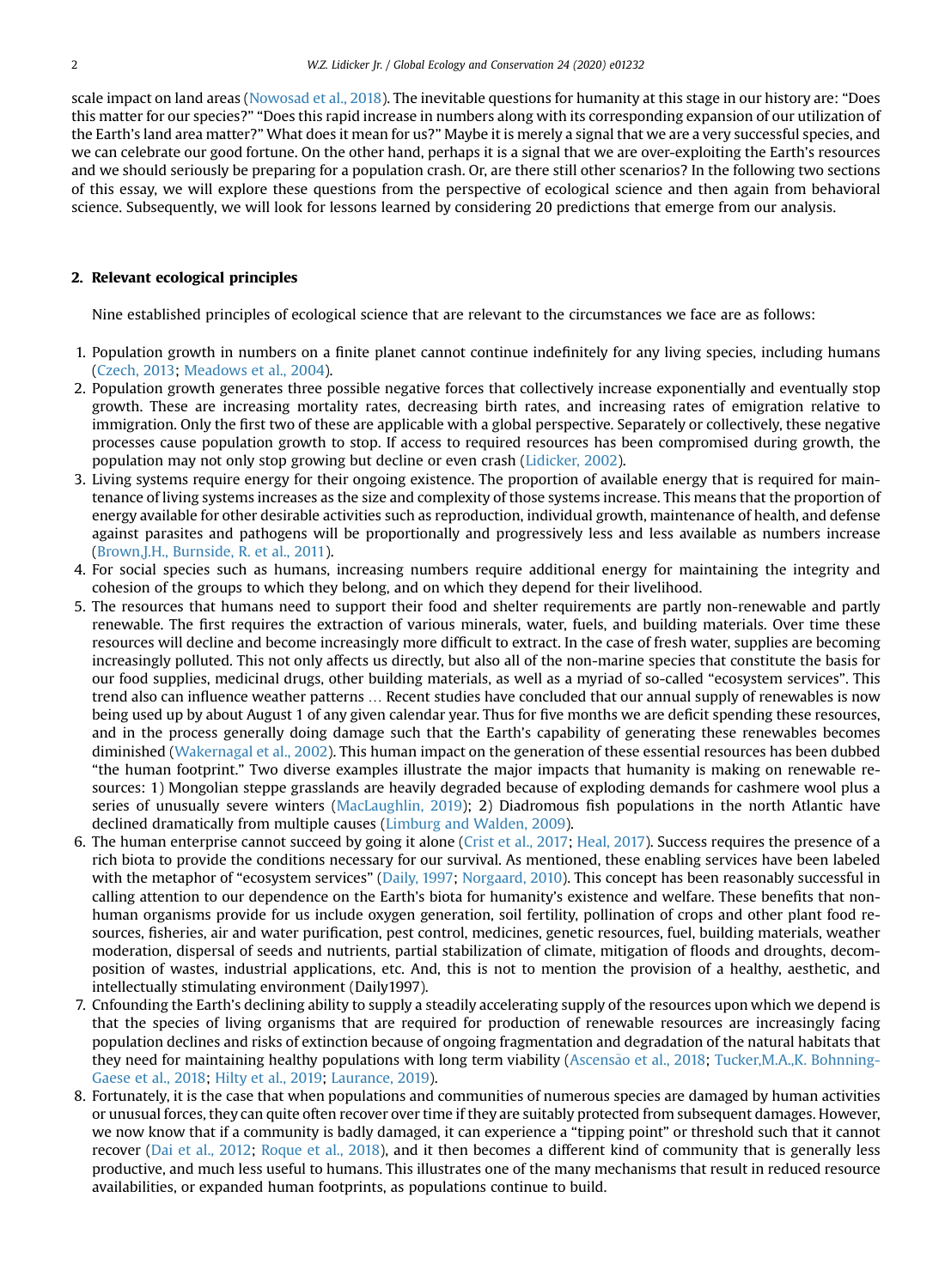scale impact on land areas ([Nowosad et al., 2018\)](#page-6-2). The inevitable questions for humanity at this stage in our history are: "Does this matter for our species?" "Does this rapid increase in numbers along with its corresponding expansion of our utilization of the Earth's land area matter?" What does it mean for us?" Maybe it is merely a signal that we are a very successful species, and we can celebrate our good fortune. On the other hand, perhaps it is a signal that we are over-exploiting the Earth's resources and we should seriously be preparing for a population crash. Or, are there still other scenarios? In the following two sections of this essay, we will explore these questions from the perspective of ecological science and then again from behavioral science. Subsequently, we will look for lessons learned by considering 20 predictions that emerge from our analysis.

#### 2. Relevant ecological principles

Nine established principles of ecological science that are relevant to the circumstances we face are as follows:

- 1. Population growth in numbers on a finite planet cannot continue indefinitely for any living species, including humans [\(Czech, 2013;](#page-6-3) [Meadows et al., 2004\)](#page-6-4).
- 2. Population growth generates three possible negative forces that collectively increase exponentially and eventually stop growth. These are increasing mortality rates, decreasing birth rates, and increasing rates of emigration relative to immigration. Only the first two of these are applicable with a global perspective. Separately or collectively, these negative processes cause population growth to stop. If access to required resources has been compromised during growth, the population may not only stop growing but decline or even crash ([Lidicker, 2002\)](#page-6-5).
- 3. Living systems require energy for their ongoing existence. The proportion of available energy that is required for maintenance of living systems increases as the size and complexity of those systems increase. This means that the proportion of energy available for other desirable activities such as reproduction, individual growth, maintenance of health, and defense against parasites and pathogens will be proportionally and progressively less and less available as numbers increase [\(Brown,J.H., Burnside, R. et al., 2011](#page-6-6)).
- 4. For social species such as humans, increasing numbers require additional energy for maintaining the integrity and cohesion of the groups to which they belong, and on which they depend for their livelihood.
- 5. The resources that humans need to support their food and shelter requirements are partly non-renewable and partly renewable. The first requires the extraction of various minerals, water, fuels, and building materials. Over time these resources will decline and become increasingly more difficult to extract. In the case of fresh water, supplies are becoming increasingly polluted. This not only affects us directly, but also all of the non-marine species that constitute the basis for our food supplies, medicinal drugs, other building materials, as well as a myriad of so-called "ecosystem services". This trend also can influence weather patterns … Recent studies have concluded that our annual supply of renewables is now being used up by about August 1 of any given calendar year. Thus for five months we are deficit spending these resources, and in the process generally doing damage such that the Earth's capability of generating these renewables becomes diminished ([Wakernagal et al., 2002\)](#page-6-7). This human impact on the generation of these essential resources has been dubbed "the human footprint." Two diverse examples illustrate the major impacts that humanity is making on renewable resources: 1) Mongolian steppe grasslands are heavily degraded because of exploding demands for cashmere wool plus a series of unusually severe winters [\(MacLaughlin, 2019](#page-6-8)); 2) Diadromous fish populations in the north Atlantic have declined dramatically from multiple causes [\(Limburg and Walden, 2009\)](#page-6-9).
- 6. The human enterprise cannot succeed by going it alone [\(Crist et al., 2017](#page-6-10); [Heal, 2017\)](#page-6-11). Success requires the presence of a rich biota to provide the conditions necessary for our survival. As mentioned, these enabling services have been labeled with the metaphor of "ecosystem services" [\(Daily, 1997](#page-6-12); [Norgaard, 2010\)](#page-6-13). This concept has been reasonably successful in calling attention to our dependence on the Earth's biota for humanity's existence and welfare. These benefits that nonhuman organisms provide for us include oxygen generation, soil fertility, pollination of crops and other plant food resources, fisheries, air and water purification, pest control, medicines, genetic resources, fuel, building materials, weather moderation, dispersal of seeds and nutrients, partial stabilization of climate, mitigation of floods and droughts, decomposition of wastes, industrial applications, etc. And, this is not to mention the provision of a healthy, aesthetic, and intellectually stimulating environment (Daily1997).
- 7. Cnfounding the Earth's declining ability to supply a steadily accelerating supply of the resources upon which we depend is that the species of living organisms that are required for production of renewable resources are increasingly facing population declines and risks of extinction because of ongoing fragmentation and degradation of the natural habitats that they need for maintaining healthy populations with long term viability [\(Ascens](#page-6-14)ã[o et al., 2018](#page-6-14); [Tucker,M.A.,K. Bohnning-](#page-6-15)[Gaese et al., 2018;](#page-6-15) [Hilty et al., 2019;](#page-6-16) [Laurance, 2019](#page-6-17)).
- 8. Fortunately, it is the case that when populations and communities of numerous species are damaged by human activities or unusual forces, they can quite often recover over time if they are suitably protected from subsequent damages. However, we now know that if a community is badly damaged, it can experience a "tipping point" or threshold such that it cannot recover [\(Dai et al., 2012;](#page-6-18) [Roque et al., 2018\)](#page-6-19), and it then becomes a different kind of community that is generally less productive, and much less useful to humans. This illustrates one of the many mechanisms that result in reduced resource availabilities, or expanded human footprints, as populations continue to build.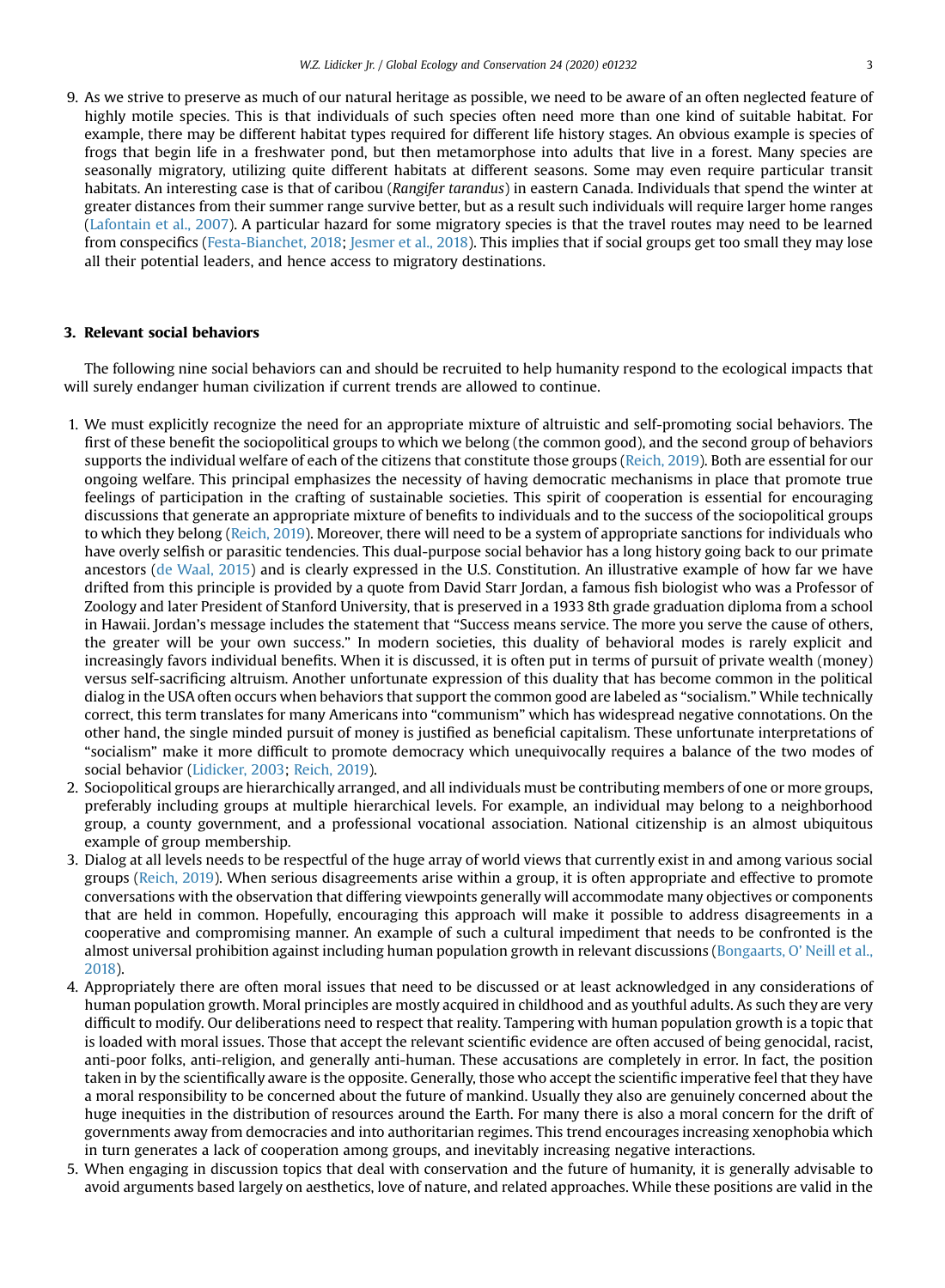9. As we strive to preserve as much of our natural heritage as possible, we need to be aware of an often neglected feature of highly motile species. This is that individuals of such species often need more than one kind of suitable habitat. For example, there may be different habitat types required for different life history stages. An obvious example is species of frogs that begin life in a freshwater pond, but then metamorphose into adults that live in a forest. Many species are seasonally migratory, utilizing quite different habitats at different seasons. Some may even require particular transit habitats. An interesting case is that of caribou (Rangifer tarandus) in eastern Canada. Individuals that spend the winter at greater distances from their summer range survive better, but as a result such individuals will require larger home ranges ([Lafontain et al., 2007\)](#page-6-20). A particular hazard for some migratory species is that the travel routes may need to be learned from conspecifics ([Festa-Bianchet, 2018](#page-6-21); [Jesmer et al., 2018\)](#page-6-22). This implies that if social groups get too small they may lose all their potential leaders, and hence access to migratory destinations.

#### 3. Relevant social behaviors

The following nine social behaviors can and should be recruited to help humanity respond to the ecological impacts that will surely endanger human civilization if current trends are allowed to continue.

- 1. We must explicitly recognize the need for an appropriate mixture of altruistic and self-promoting social behaviors. The first of these benefit the sociopolitical groups to which we belong (the common good), and the second group of behaviors supports the individual welfare of each of the citizens that constitute those groups ([Reich, 2019\)](#page-6-23). Both are essential for our ongoing welfare. This principal emphasizes the necessity of having democratic mechanisms in place that promote true feelings of participation in the crafting of sustainable societies. This spirit of cooperation is essential for encouraging discussions that generate an appropriate mixture of benefits to individuals and to the success of the sociopolitical groups to which they belong [\(Reich, 2019\)](#page-6-23). Moreover, there will need to be a system of appropriate sanctions for individuals who have overly selfish or parasitic tendencies. This dual-purpose social behavior has a long history going back to our primate ancestors [\(de Waal, 2015](#page-6-24)) and is clearly expressed in the U.S. Constitution. An illustrative example of how far we have drifted from this principle is provided by a quote from David Starr Jordan, a famous fish biologist who was a Professor of Zoology and later President of Stanford University, that is preserved in a 1933 8th grade graduation diploma from a school in Hawaii. Jordan's message includes the statement that "Success means service. The more you serve the cause of others, the greater will be your own success." In modern societies, this duality of behavioral modes is rarely explicit and increasingly favors individual benefits. When it is discussed, it is often put in terms of pursuit of private wealth (money) versus self-sacrificing altruism. Another unfortunate expression of this duality that has become common in the political dialog in the USA often occurs when behaviors that support the common good are labeled as "socialism." While technically correct, this term translates for many Americans into "communism" which has widespread negative connotations. On the other hand, the single minded pursuit of money is justified as beneficial capitalism. These unfortunate interpretations of "socialism" make it more difficult to promote democracy which unequivocally requires a balance of the two modes of social behavior ([Lidicker, 2003](#page-6-25); [Reich, 2019](#page-6-23)).
- 2. Sociopolitical groups are hierarchically arranged, and all individuals must be contributing members of one or more groups, preferably including groups at multiple hierarchical levels. For example, an individual may belong to a neighborhood group, a county government, and a professional vocational association. National citizenship is an almost ubiquitous example of group membership.
- 3. Dialog at all levels needs to be respectful of the huge array of world views that currently exist in and among various social groups [\(Reich, 2019](#page-6-23)). When serious disagreements arise within a group, it is often appropriate and effective to promote conversations with the observation that differing viewpoints generally will accommodate many objectives or components that are held in common. Hopefully, encouraging this approach will make it possible to address disagreements in a cooperative and compromising manner. An example of such a cultural impediment that needs to be confronted is the almost universal prohibition against including human population growth in relevant discussions [\(Bongaarts, O](#page-6-26)' Neill et al., [2018\)](#page-6-26).
- 4. Appropriately there are often moral issues that need to be discussed or at least acknowledged in any considerations of human population growth. Moral principles are mostly acquired in childhood and as youthful adults. As such they are very difficult to modify. Our deliberations need to respect that reality. Tampering with human population growth is a topic that is loaded with moral issues. Those that accept the relevant scientific evidence are often accused of being genocidal, racist, anti-poor folks, anti-religion, and generally anti-human. These accusations are completely in error. In fact, the position taken in by the scientifically aware is the opposite. Generally, those who accept the scientific imperative feel that they have a moral responsibility to be concerned about the future of mankind. Usually they also are genuinely concerned about the huge inequities in the distribution of resources around the Earth. For many there is also a moral concern for the drift of governments away from democracies and into authoritarian regimes. This trend encourages increasing xenophobia which in turn generates a lack of cooperation among groups, and inevitably increasing negative interactions.
- 5. When engaging in discussion topics that deal with conservation and the future of humanity, it is generally advisable to avoid arguments based largely on aesthetics, love of nature, and related approaches. While these positions are valid in the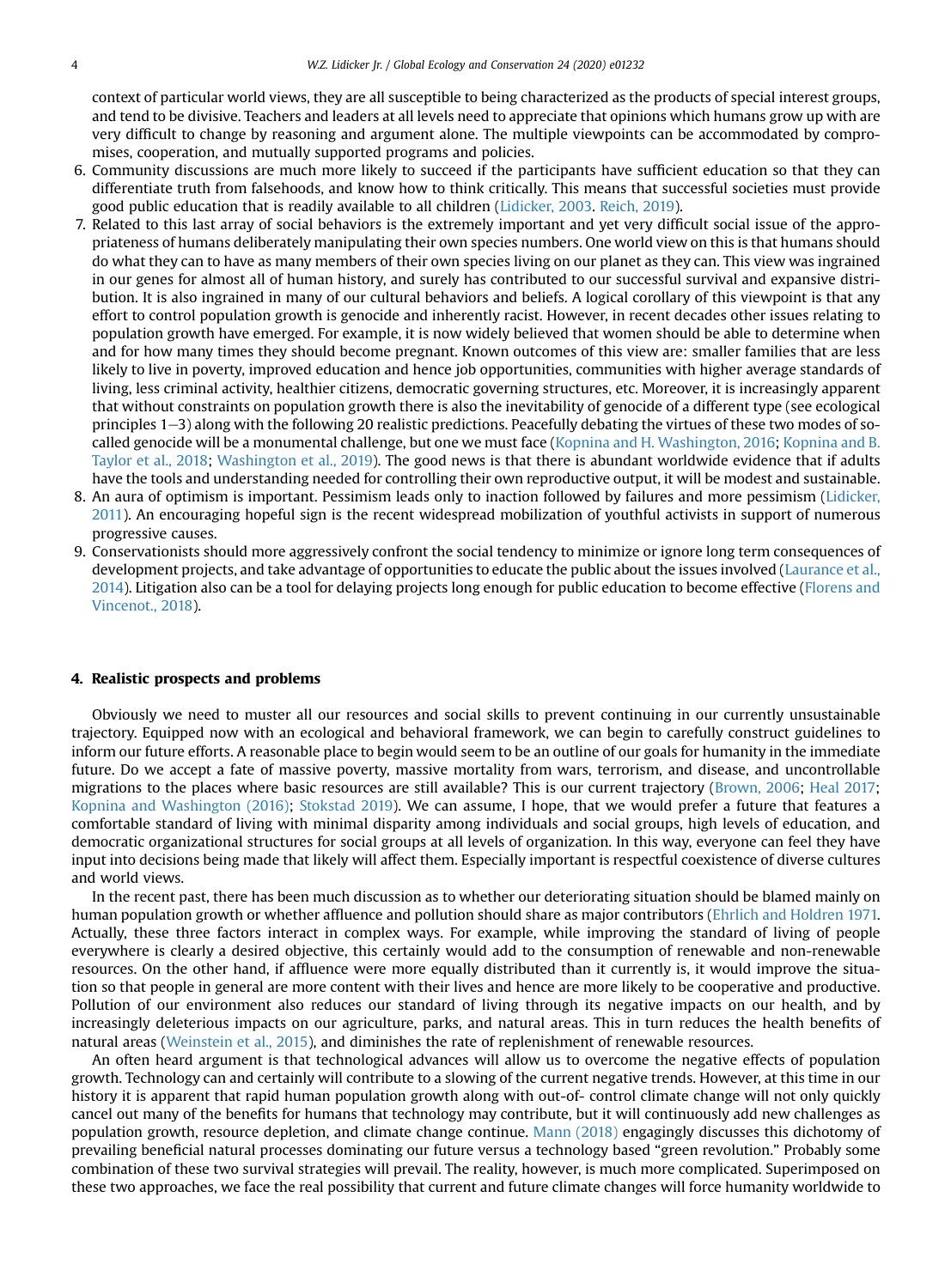context of particular world views, they are all susceptible to being characterized as the products of special interest groups, and tend to be divisive. Teachers and leaders at all levels need to appreciate that opinions which humans grow up with are very difficult to change by reasoning and argument alone. The multiple viewpoints can be accommodated by compromises, cooperation, and mutually supported programs and policies.

- 6. Community discussions are much more likely to succeed if the participants have sufficient education so that they can differentiate truth from falsehoods, and know how to think critically. This means that successful societies must provide good public education that is readily available to all children [\(Lidicker, 2003](#page-6-25). [Reich, 2019\)](#page-6-23).
- 7. Related to this last array of social behaviors is the extremely important and yet very difficult social issue of the appropriateness of humans deliberately manipulating their own species numbers. One world view on this is that humans should do what they can to have as many members of their own species living on our planet as they can. This view was ingrained in our genes for almost all of human history, and surely has contributed to our successful survival and expansive distribution. It is also ingrained in many of our cultural behaviors and beliefs. A logical corollary of this viewpoint is that any effort to control population growth is genocide and inherently racist. However, in recent decades other issues relating to population growth have emerged. For example, it is now widely believed that women should be able to determine when and for how many times they should become pregnant. Known outcomes of this view are: smaller families that are less likely to live in poverty, improved education and hence job opportunities, communities with higher average standards of living, less criminal activity, healthier citizens, democratic governing structures, etc. Moreover, it is increasingly apparent that without constraints on population growth there is also the inevitability of genocide of a different type (see ecological principles 1–3) along with the following 20 realistic predictions. Peacefully debating the virtues of these two modes of socalled genocide will be a monumental challenge, but one we must face [\(Kopnina and H. Washington, 2016;](#page-6-27) [Kopnina and B.](#page-6-28) [Taylor et al., 2018;](#page-6-28) [Washington et al., 2019\)](#page-6-29). The good news is that there is abundant worldwide evidence that if adults have the tools and understanding needed for controlling their own reproductive output, it will be modest and sustainable.
- 8. An aura of optimism is important. Pessimism leads only to inaction followed by failures and more pessimism [\(Lidicker,](#page-6-30) [2011\)](#page-6-30). An encouraging hopeful sign is the recent widespread mobilization of youthful activists in support of numerous progressive causes.
- 9. Conservationists should more aggressively confront the social tendency to minimize or ignore long term consequences of development projects, and take advantage of opportunities to educate the public about the issues involved [\(Laurance et al.,](#page-6-31) [2014](#page-6-31)). Litigation also can be a tool for delaying projects long enough for public education to become effective ([Florens and](#page-6-32) [Vincenot., 2018](#page-6-32)).

#### 4. Realistic prospects and problems

Obviously we need to muster all our resources and social skills to prevent continuing in our currently unsustainable trajectory. Equipped now with an ecological and behavioral framework, we can begin to carefully construct guidelines to inform our future efforts. A reasonable place to begin would seem to be an outline of our goals for humanity in the immediate future. Do we accept a fate of massive poverty, massive mortality from wars, terrorism, and disease, and uncontrollable migrations to the places where basic resources are still available? This is our current trajectory ([Brown, 2006;](#page-6-33) [Heal 2017;](#page-6-11) [Kopnina and Washington \(2016\);](#page-6-27) [Stokstad 2019](#page-6-34)). We can assume, I hope, that we would prefer a future that features a comfortable standard of living with minimal disparity among individuals and social groups, high levels of education, and democratic organizational structures for social groups at all levels of organization. In this way, everyone can feel they have input into decisions being made that likely will affect them. Especially important is respectful coexistence of diverse cultures and world views.

In the recent past, there has been much discussion as to whether our deteriorating situation should be blamed mainly on human population growth or whether affluence and pollution should share as major contributors ([Ehrlich and Holdren 1971.](#page-6-35) Actually, these three factors interact in complex ways. For example, while improving the standard of living of people everywhere is clearly a desired objective, this certainly would add to the consumption of renewable and non-renewable resources. On the other hand, if affluence were more equally distributed than it currently is, it would improve the situation so that people in general are more content with their lives and hence are more likely to be cooperative and productive. Pollution of our environment also reduces our standard of living through its negative impacts on our health, and by increasingly deleterious impacts on our agriculture, parks, and natural areas. This in turn reduces the health benefits of natural areas ([Weinstein et al., 2015\)](#page-6-36), and diminishes the rate of replenishment of renewable resources.

An often heard argument is that technological advances will allow us to overcome the negative effects of population growth. Technology can and certainly will contribute to a slowing of the current negative trends. However, at this time in our history it is apparent that rapid human population growth along with out-of- control climate change will not only quickly cancel out many of the benefits for humans that technology may contribute, but it will continuously add new challenges as population growth, resource depletion, and climate change continue. [Mann \(2018\)](#page-6-37) engagingly discusses this dichotomy of prevailing beneficial natural processes dominating our future versus a technology based "green revolution." Probably some combination of these two survival strategies will prevail. The reality, however, is much more complicated. Superimposed on these two approaches, we face the real possibility that current and future climate changes will force humanity worldwide to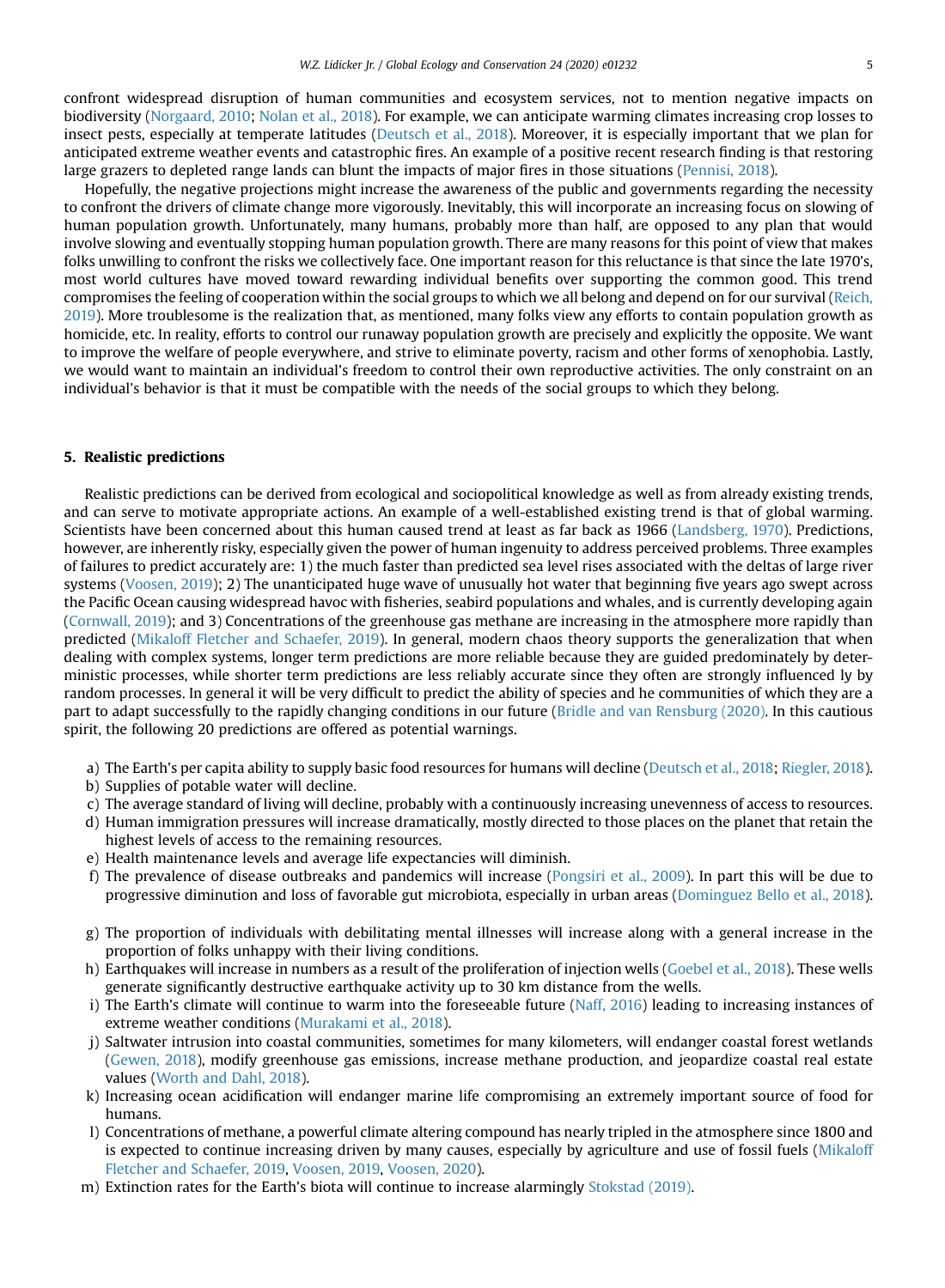confront widespread disruption of human communities and ecosystem services, not to mention negative impacts on biodiversity ([Norgaard, 2010](#page-6-13); [Nolan et al., 2018\)](#page-6-38). For example, we can anticipate warming climates increasing crop losses to insect pests, especially at temperate latitudes [\(Deutsch et al., 2018\)](#page-6-39). Moreover, it is especially important that we plan for anticipated extreme weather events and catastrophic fires. An example of a positive recent research finding is that restoring large grazers to depleted range lands can blunt the impacts of major fires in those situations ([Pennisi, 2018](#page-6-40)).

Hopefully, the negative projections might increase the awareness of the public and governments regarding the necessity to confront the drivers of climate change more vigorously. Inevitably, this will incorporate an increasing focus on slowing of human population growth. Unfortunately, many humans, probably more than half, are opposed to any plan that would involve slowing and eventually stopping human population growth. There are many reasons for this point of view that makes folks unwilling to confront the risks we collectively face. One important reason for this reluctance is that since the late 1970's, most world cultures have moved toward rewarding individual benefits over supporting the common good. This trend compromises the feeling of cooperation within the social groups to which we all belong and depend on for our survival ([Reich,](#page-6-23) [2019](#page-6-23)). More troublesome is the realization that, as mentioned, many folks view any efforts to contain population growth as homicide, etc. In reality, efforts to control our runaway population growth are precisely and explicitly the opposite. We want to improve the welfare of people everywhere, and strive to eliminate poverty, racism and other forms of xenophobia. Lastly, we would want to maintain an individual's freedom to control their own reproductive activities. The only constraint on an individual's behavior is that it must be compatible with the needs of the social groups to which they belong.

#### 5. Realistic predictions

Realistic predictions can be derived from ecological and sociopolitical knowledge as well as from already existing trends, and can serve to motivate appropriate actions. An example of a well-established existing trend is that of global warming. Scientists have been concerned about this human caused trend at least as far back as 1966 [\(Landsberg, 1970](#page-6-41)). Predictions, however, are inherently risky, especially given the power of human ingenuity to address perceived problems. Three examples of failures to predict accurately are: 1) the much faster than predicted sea level rises associated with the deltas of large river systems [\(Voosen, 2019\)](#page-6-42); 2) The unanticipated huge wave of unusually hot water that beginning five years ago swept across the Pacific Ocean causing widespread havoc with fisheries, seabird populations and whales, and is currently developing again ([Cornwall, 2019\)](#page-6-43); and 3) Concentrations of the greenhouse gas methane are increasing in the atmosphere more rapidly than predicted ([Mikaloff Fletcher and Schaefer, 2019\)](#page-6-44). In general, modern chaos theory supports the generalization that when dealing with complex systems, longer term predictions are more reliable because they are guided predominately by deterministic processes, while shorter term predictions are less reliably accurate since they often are strongly influenced ly by random processes. In general it will be very difficult to predict the ability of species and he communities of which they are a part to adapt successfully to the rapidly changing conditions in our future [\(Bridle and van Rensburg \(2020\).](#page-6-45) In this cautious spirit, the following 20 predictions are offered as potential warnings.

- a) The Earth's per capita ability to supply basic food resources for humans will decline [\(Deutsch et al., 2018;](#page-6-39) [Riegler, 2018](#page-6-46)).
- b) Supplies of potable water will decline.
- c) The average standard of living will decline, probably with a continuously increasing unevenness of access to resources.
- d) Human immigration pressures will increase dramatically, mostly directed to those places on the planet that retain the
- highest levels of access to the remaining resources.
- e) Health maintenance levels and average life expectancies will diminish.
- f) The prevalence of disease outbreaks and pandemics will increase [\(Pongsiri et al., 2009\)](#page-6-47). In part this will be due to progressive diminution and loss of favorable gut microbiota, especially in urban areas ([Dominguez Bello et al., 2018](#page-6-48)).
- g) The proportion of individuals with debilitating mental illnesses will increase along with a general increase in the proportion of folks unhappy with their living conditions.
- h) Earthquakes will increase in numbers as a result of the proliferation of injection wells ([Goebel et al., 2018\)](#page-6-49). These wells generate significantly destructive earthquake activity up to 30 km distance from the wells.
- i) The Earth's climate will continue to warm into the foreseeable future ([Naff, 2016\)](#page-6-50) leading to increasing instances of extreme weather conditions [\(Murakami et al., 2018](#page-6-51)).
- j) Saltwater intrusion into coastal communities, sometimes for many kilometers, will endanger coastal forest wetlands ([Gewen, 2018](#page-6-52)), modify greenhouse gas emissions, increase methane production, and jeopardize coastal real estate values [\(Worth and Dahl, 2018](#page-6-53)).
- k) Increasing ocean acidification will endanger marine life compromising an extremely important source of food for humans.
- l) Concentrations of methane, a powerful climate altering compound has nearly tripled in the atmosphere since 1800 and is expected to continue increasing driven by many causes, especially by agriculture and use of fossil fuels ([Mikaloff](#page-6-44) [Fletcher and Schaefer, 2019](#page-6-44), [Voosen, 2019](#page-6-54), [Voosen, 2020](#page-6-42)).
- m) Extinction rates for the Earth's biota will continue to increase alarmingly [Stokstad \(2019\)](#page-6-34).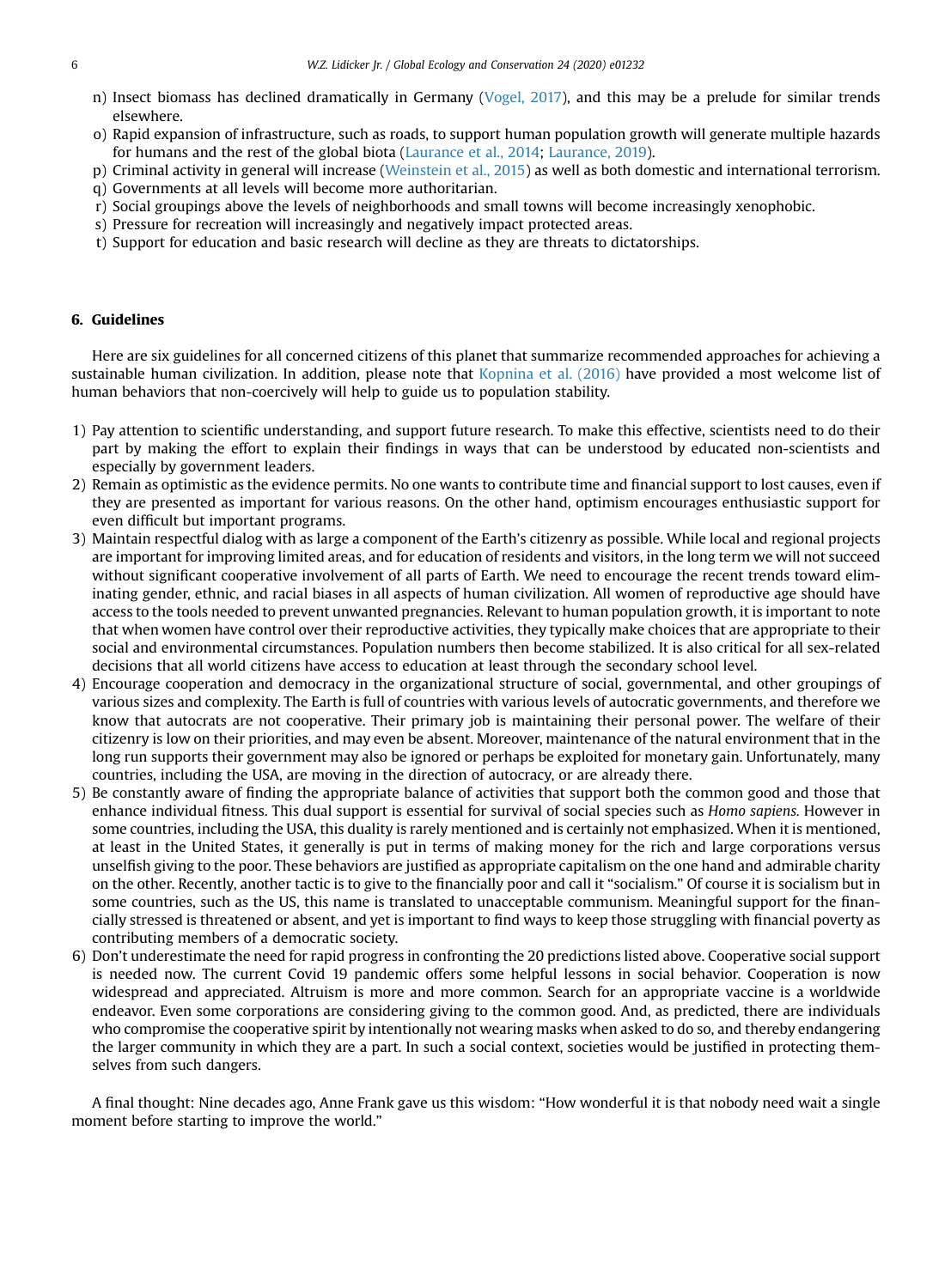- n) Insect biomass has declined dramatically in Germany [\(Vogel, 2017\)](#page-6-55), and this may be a prelude for similar trends elsewhere.
- o) Rapid expansion of infrastructure, such as roads, to support human population growth will generate multiple hazards for humans and the rest of the global biota ([Laurance et al., 2014;](#page-6-31) [Laurance, 2019\)](#page-6-17).
- p) Criminal activity in general will increase [\(Weinstein et al., 2015\)](#page-6-36) as well as both domestic and international terrorism.
- q) Governments at all levels will become more authoritarian.
- r) Social groupings above the levels of neighborhoods and small towns will become increasingly xenophobic.
- s) Pressure for recreation will increasingly and negatively impact protected areas.
- t) Support for education and basic research will decline as they are threats to dictatorships.

#### 6. Guidelines

Here are six guidelines for all concerned citizens of this planet that summarize recommended approaches for achieving a sustainable human civilization. In addition, please note that [Kopnina et al. \(2016\)](#page-6-27) have provided a most welcome list of human behaviors that non-coercively will help to guide us to population stability.

- 1) Pay attention to scientific understanding, and support future research. To make this effective, scientists need to do their part by making the effort to explain their findings in ways that can be understood by educated non-scientists and especially by government leaders.
- 2) Remain as optimistic as the evidence permits. No one wants to contribute time and financial support to lost causes, even if they are presented as important for various reasons. On the other hand, optimism encourages enthusiastic support for even difficult but important programs.
- 3) Maintain respectful dialog with as large a component of the Earth's citizenry as possible. While local and regional projects are important for improving limited areas, and for education of residents and visitors, in the long term we will not succeed without significant cooperative involvement of all parts of Earth. We need to encourage the recent trends toward eliminating gender, ethnic, and racial biases in all aspects of human civilization. All women of reproductive age should have access to the tools needed to prevent unwanted pregnancies. Relevant to human population growth, it is important to note that when women have control over their reproductive activities, they typically make choices that are appropriate to their social and environmental circumstances. Population numbers then become stabilized. It is also critical for all sex-related decisions that all world citizens have access to education at least through the secondary school level.
- 4) Encourage cooperation and democracy in the organizational structure of social, governmental, and other groupings of various sizes and complexity. The Earth is full of countries with various levels of autocratic governments, and therefore we know that autocrats are not cooperative. Their primary job is maintaining their personal power. The welfare of their citizenry is low on their priorities, and may even be absent. Moreover, maintenance of the natural environment that in the long run supports their government may also be ignored or perhaps be exploited for monetary gain. Unfortunately, many countries, including the USA, are moving in the direction of autocracy, or are already there.
- 5) Be constantly aware of finding the appropriate balance of activities that support both the common good and those that enhance individual fitness. This dual support is essential for survival of social species such as Homo sapiens. However in some countries, including the USA, this duality is rarely mentioned and is certainly not emphasized. When it is mentioned, at least in the United States, it generally is put in terms of making money for the rich and large corporations versus unselfish giving to the poor. These behaviors are justified as appropriate capitalism on the one hand and admirable charity on the other. Recently, another tactic is to give to the financially poor and call it "socialism." Of course it is socialism but in some countries, such as the US, this name is translated to unacceptable communism. Meaningful support for the financially stressed is threatened or absent, and yet is important to find ways to keep those struggling with financial poverty as contributing members of a democratic society.
- 6) Don't underestimate the need for rapid progress in confronting the 20 predictions listed above. Cooperative social support is needed now. The current Covid 19 pandemic offers some helpful lessons in social behavior. Cooperation is now widespread and appreciated. Altruism is more and more common. Search for an appropriate vaccine is a worldwide endeavor. Even some corporations are considering giving to the common good. And, as predicted, there are individuals who compromise the cooperative spirit by intentionally not wearing masks when asked to do so, and thereby endangering the larger community in which they are a part. In such a social context, societies would be justified in protecting themselves from such dangers.

A final thought: Nine decades ago, Anne Frank gave us this wisdom: "How wonderful it is that nobody need wait a single moment before starting to improve the world."